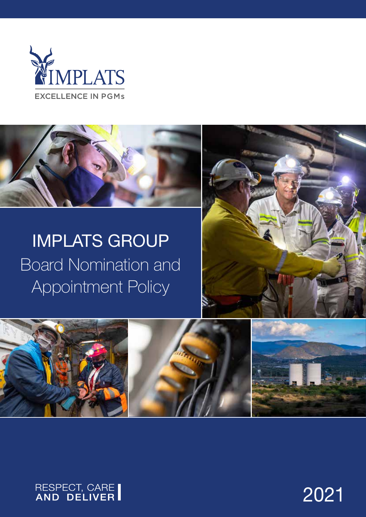



# IMPLATS GROUP Board Nomination and Appointment Policy







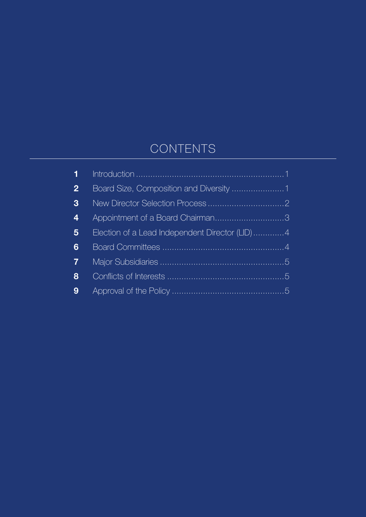## **CONTENTS**

| 1 <sup>1</sup> |                                                |
|----------------|------------------------------------------------|
| $\overline{2}$ |                                                |
| 3 <sup>5</sup> |                                                |
| $\overline{4}$ | Appointment of a Board Chairman3               |
| $5\phantom{1}$ | Election of a Lead Independent Director (LID)4 |
| $6\phantom{1}$ |                                                |
| $\overline{7}$ |                                                |
| 8              |                                                |
| 9              |                                                |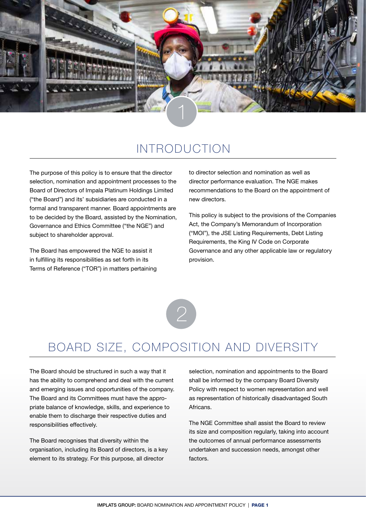

### INTRODUCTION

The purpose of this policy is to ensure that the director selection, nomination and appointment processes to the Board of Directors of Impala Platinum Holdings Limited ("the Board") and its' subsidiaries are conducted in a formal and transparent manner. Board appointments are to be decided by the Board, assisted by the Nomination, Governance and Ethics Committee ("the NGE") and subject to shareholder approval.

The Board has empowered the NGE to assist it in fulfilling its responsibilities as set forth in its Terms of Reference ("TOR") in matters pertaining

to director selection and nomination as well as director performance evaluation. The NGE makes recommendations to the Board on the appointment of new directors.

This policy is subject to the provisions of the Companies Act, the Company's Memorandum of Incorporation ("MOI"), the JSE Listing Requirements, Debt Listing Requirements, the King IV Code on Corporate Governance and any other applicable law or regulatory provision.



### BOARD SIZE, COMPOSITION AND DIVERSITY

The Board should be structured in such a way that it has the ability to comprehend and deal with the current and emerging issues and opportunities of the company. The Board and its Committees must have the appropriate balance of knowledge, skills, and experience to enable them to discharge their respective duties and responsibilities effectively.

The Board recognises that diversity within the organisation, including its Board of directors, is a key element to its strategy. For this purpose, all director

selection, nomination and appointments to the Board shall be informed by the company Board Diversity Policy with respect to women representation and well as representation of historically disadvantaged South Africans.

The NGE Committee shall assist the Board to review its size and composition regularly, taking into account the outcomes of annual performance assessments undertaken and succession needs, amongst other factors.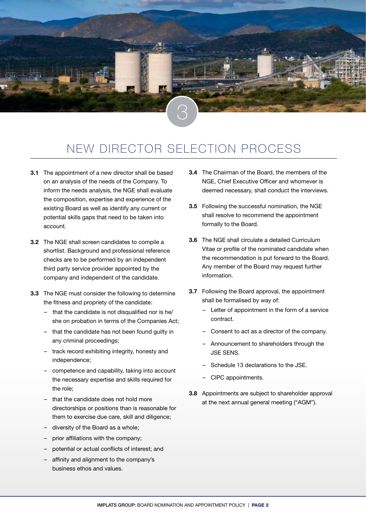

### NEW DIRECTOR SELECTION PROCESS

- 3.1 The appointment of a new director shall be based on an analysis of the needs of the Company. To inform the needs analysis, the NGE shall evaluate the composition, expertise and experience of the existing Board as well as identify any current or potential skills gaps that need to be taken into account.
- 3.2 The NGE shall screen candidates to compile a shortlist. Background and professional reference checks are to be performed by an independent third party service provider appointed by the company and independent of the candidate.
- 3.3 The NGE must consider the following to determine the fitness and propriety of the candidate:
	- that the candidate is not disqualified nor is he/ she on probation in terms of the Companies Act;
	- that the candidate has not been found guilty in any criminal proceedings;
	- track record exhibiting integrity, honesty and independence;
	- competence and capability, taking into account the necessary expertise and skills required for the role;
	- that the candidate does not hold more directorships or positions than is reasonable for them to exercise due care, skill and diligence;
	- diversity of the Board as a whole;
	- prior affiliations with the company;
	- potential or actual conflicts of interest; and
	- affinity and alignment to the company's business ethos and values.
- 3.4 The Chairman of the Board, the members of the NGE, Chief Executive Officer and whomever is deemed necessary, shall conduct the interviews.
- 3.5 Following the successful nomination, the NGE shall resolve to recommend the appointment formally to the Board.
- 3.6 The NGE shall circulate a detailed Curriculum Vitae or profile of the nominated candidate when the recommendation is put forward to the Board. Any member of the Board may request further information.
- 3.7 Following the Board approval, the appointment shall be formalised by way of:
	- Letter of appointment in the form of a service contract.
	- Consent to act as a director of the company.
	- Announcement to shareholders through the JSE SENS.
	- Schedule 13 declarations to the JSE.
	- CIPC appointments.
- 3.8 Appointments are subject to shareholder approval at the next annual general meeting ("AGM").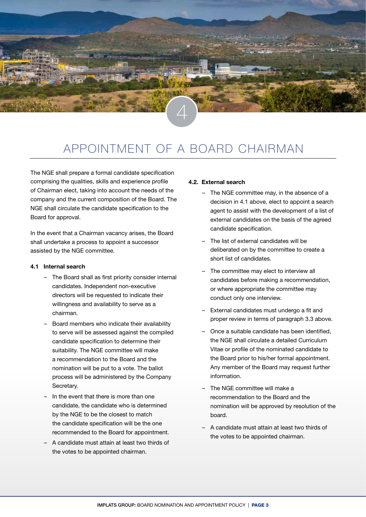

### APPOINTMENT OF A BOARD CHAIRMAN

The NGE shall prepare a formal candidate specification comprising the qualities, skills and experience profile of Chairman elect, taking into account the needs of the company and the current composition of the Board. The NGE shall circulate the candidate specification to the Board for approval.

In the event that a Chairman vacancy arises, the Board shall undertake a process to appoint a successor assisted by the NGE committee.

#### 4.1 Internal search

- The Board shall as first priority consider internal candidates. Independent non-executive directors will be requested to indicate their willingness and availability to serve as a chairman.
- Board members who indicate their availability to serve will be assessed against the compiled candidate specification to determine their suitability. The NGE committee will make a recommendation to the Board and the nomination will be put to a vote. The ballot process will be administered by the Company Secretary.
- In the event that there is more than one candidate, the candidate who is determined by the NGE to be the closest to match the candidate specification will be the one recommended to the Board for appointment.
- A candidate must attain at least two thirds of the votes to be appointed chairman.

#### 4.2. External search

- The NGE committee may, in the absence of a decision in 4.1 above, elect to appoint a search agent to assist with the development of a list of external candidates on the basis of the agreed candidate specification.
- The list of external candidates will be deliberated on by the committee to create a short list of candidates.
- The committee may elect to interview all candidates before making a recommendation, or where appropriate the committee may conduct only one interview.
- External candidates must undergo a fit and proper review in terms of paragraph 3.3 above.
- Once a suitable candidate has been identified, the NGE shall circulate a detailed Curriculum Vitae or profile of the nominated candidate to the Board prior to his/her formal appointment. Any member of the Board may request further information.
- The NGE committee will make a recommendation to the Board and the nomination will be approved by resolution of the board.
- A candidate must attain at least two thirds of the votes to be appointed chairman.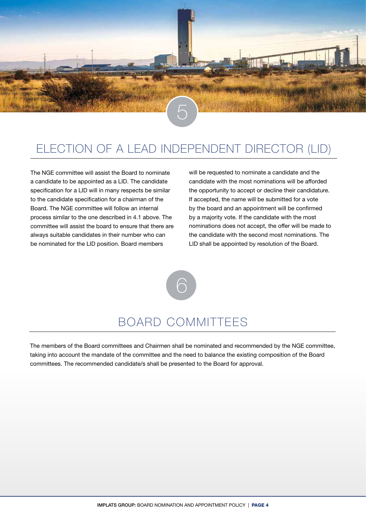

#### ELECTION OF A LEAD INDEPENDENT DIRECTOR (LID)

The NGE committee will assist the Board to nominate a candidate to be appointed as a LID. The candidate specification for a LID will in many respects be similar to the candidate specification for a chairman of the Board. The NGE committee will follow an internal process similar to the one described in 4.1 above. The committee will assist the board to ensure that there are always suitable candidates in their number who can be nominated for the LID position. Board members

will be requested to nominate a candidate and the candidate with the most nominations will be afforded the opportunity to accept or decline their candidature. If accepted, the name will be submitted for a vote by the board and an appointment will be confirmed by a majority vote. If the candidate with the most nominations does not accept, the offer will be made to the candidate with the second most nominations. The LID shall be appointed by resolution of the Board.



### BOARD COMMITTEES

The members of the Board committees and Chairmen shall be nominated and recommended by the NGE committee, taking into account the mandate of the committee and the need to balance the existing composition of the Board committees. The recommended candidate/s shall be presented to the Board for approval.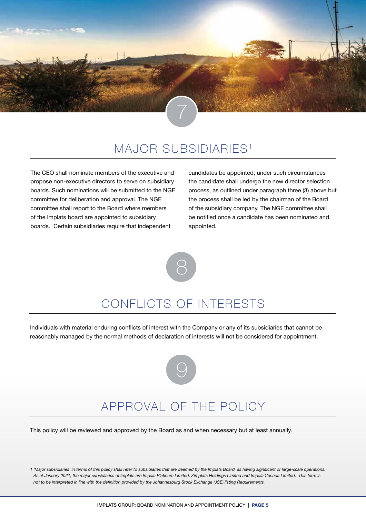

### MAJOR SUBSIDIARIES<sup>1</sup>

The CEO shall nominate members of the executive and propose non-executive directors to serve on subsidiary boards. Such nominations will be submitted to the NGE committee for deliberation and approval. The NGE committee shall report to the Board where members of the Implats board are appointed to subsidiary boards. Certain subsidiaries require that independent

candidates be appointed; under such circumstances the candidate shall undergo the new director selection process, as outlined under paragraph three (3) above but the process shall be led by the chairman of the Board of the subsidiary company. The NGE committee shall be notified once a candidate has been nominated and appointed.



### CONFLICTS OF INTERESTS

Individuals with material enduring conflicts of interest with the Company or any of its subsidiaries that cannot be reasonably managed by the normal methods of declaration of interests will not be considered for appointment.

### APPROVAL OF THE POLICY

9

This policy will be reviewed and approved by the Board as and when necessary but at least annually.

*1 'Major subsidiaries' in terms of this policy shall refer to subsidiaries that are deemed by the Implats Board, as having significant or large-scale operations. As at January 2021, the major subsidiaries of Implats are Impala Platinum Limited, Zimplats Holdings Limited and Impala Canada Limited. This term is not to be interpreted in line with the definition provided by the Johannesburg Stock Exchange (JSE) listing Requirements.*